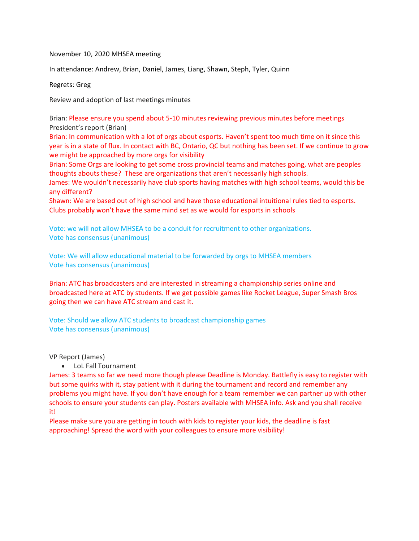November 10, 2020 MHSEA meeting

In attendance: Andrew, Brian, Daniel, James, Liang, Shawn, Steph, Tyler, Quinn

Regrets: Greg

Review and adoption of last meetings minutes

Brian: Please ensure you spend about 5-10 minutes reviewing previous minutes before meetings President's report (Brian)

Brian: In communication with a lot of orgs about esports. Haven't spent too much time on it since this year is in a state of flux. In contact with BC, Ontario, QC but nothing has been set. If we continue to grow we might be approached by more orgs for visibility

Brian: Some Orgs are looking to get some cross provincial teams and matches going, what are peoples thoughts abouts these? These are organizations that aren't necessarily high schools.

James: We wouldn't necessarily have club sports having matches with high school teams, would this be any different?

Shawn: We are based out of high school and have those educational intuitional rules tied to esports. Clubs probably won't have the same mind set as we would for esports in schools

Vote: we will not allow MHSEA to be a conduit for recruitment to other organizations. Vote has consensus (unanimous)

Vote: We will allow educational material to be forwarded by orgs to MHSEA members Vote has consensus (unanimous)

Brian: ATC has broadcasters and are interested in streaming a championship series online and broadcasted here at ATC by students. If we get possible games like Rocket League, Super Smash Bros going then we can have ATC stream and cast it.

Vote: Should we allow ATC students to broadcast championship games Vote has consensus (unanimous)

VP Report (James)

• LoL Fall Tournament

James: 3 teams so far we need more though please Deadline is Monday. Battlefly is easy to register with but some quirks with it, stay patient with it during the tournament and record and remember any problems you might have. If you don't have enough for a team remember we can partner up with other schools to ensure your students can play. Posters available with MHSEA info. Ask and you shall receive it!

Please make sure you are getting in touch with kids to register your kids, the deadline is fast approaching! Spread the word with your colleagues to ensure more visibility!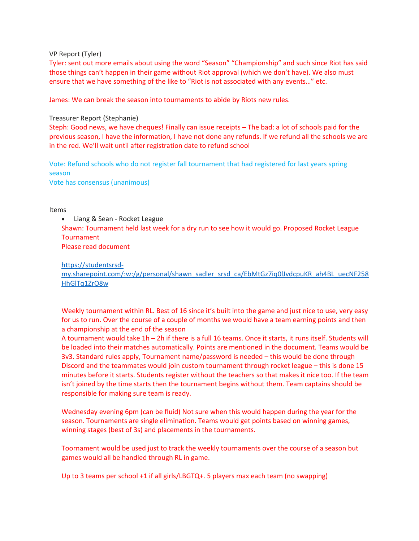VP Report (Tyler)

Tyler: sent out more emails about using the word "Season" "Championship" and such since Riot has said those things can't happen in their game without Riot approval (which we don't have). We also must ensure that we have something of the like to "Riot is not associated with any events…" etc.

James: We can break the season into tournaments to abide by Riots new rules.

## Treasurer Report (Stephanie)

Steph: Good news, we have cheques! Finally can issue receipts – The bad: a lot of schools paid for the previous season, I have the information, I have not done any refunds. If we refund all the schools we are in the red. We'll wait until after registration date to refund school

Vote: Refund schools who do not register fall tournament that had registered for last years spring season

Vote has consensus (unanimous)

Items

• Liang & Sean - Rocket League Shawn: Tournament held last week for a dry run to see how it would go. Proposed Rocket League **Tournament** Please read document

[https://studentsrsd-](https://studentsrsd-my.sharepoint.com/:w:/g/personal/shawn_sadler_srsd_ca/EbMtGz7iq0lJvdcpuKR_ah4BL_uecNF258HhGlTq1ZrO8w)

[my.sharepoint.com/:w:/g/personal/shawn\\_sadler\\_srsd\\_ca/EbMtGz7iq0lJvdcpuKR\\_ah4BL\\_uecNF258](https://studentsrsd-my.sharepoint.com/:w:/g/personal/shawn_sadler_srsd_ca/EbMtGz7iq0lJvdcpuKR_ah4BL_uecNF258HhGlTq1ZrO8w) [HhGlTq1ZrO8w](https://studentsrsd-my.sharepoint.com/:w:/g/personal/shawn_sadler_srsd_ca/EbMtGz7iq0lJvdcpuKR_ah4BL_uecNF258HhGlTq1ZrO8w)

Weekly tournament within RL. Best of 16 since it's built into the game and just nice to use, very easy for us to run. Over the course of a couple of months we would have a team earning points and then a championship at the end of the season

A tournament would take 1h – 2h if there is a full 16 teams. Once it starts, it runs itself. Students will be loaded into their matches automatically. Points are mentioned in the document. Teams would be 3v3. Standard rules apply, Tournament name/password is needed – this would be done through Discord and the teammates would join custom tournament through rocket league – this is done 15 minutes before it starts. Students register without the teachers so that makes it nice too. If the team isn't joined by the time starts then the tournament begins without them. Team captains should be responsible for making sure team is ready.

Wednesday evening 6pm (can be fluid) Not sure when this would happen during the year for the season. Tournaments are single elimination. Teams would get points based on winning games, winning stages (best of 3s) and placements in the tournaments.

Toornament would be used just to track the weekly tournaments over the course of a season but games would all be handled through RL in game.

Up to 3 teams per school +1 if all girls/LBGTQ+. 5 players max each team (no swapping)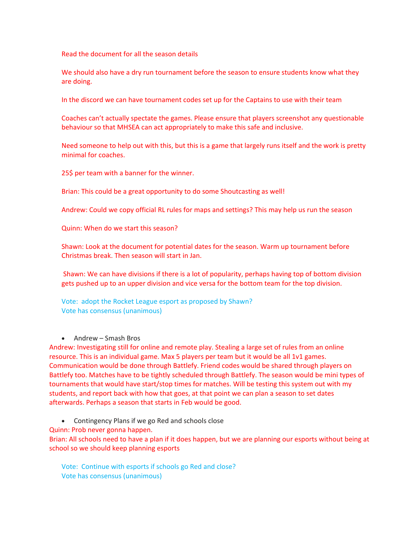Read the document for all the season details

We should also have a dry run tournament before the season to ensure students know what they are doing.

In the discord we can have tournament codes set up for the Captains to use with their team

Coaches can't actually spectate the games. Please ensure that players screenshot any questionable behaviour so that MHSEA can act appropriately to make this safe and inclusive.

Need someone to help out with this, but this is a game that largely runs itself and the work is pretty minimal for coaches.

25\$ per team with a banner for the winner.

Brian: This could be a great opportunity to do some Shoutcasting as well!

Andrew: Could we copy official RL rules for maps and settings? This may help us run the season

Quinn: When do we start this season?

Shawn: Look at the document for potential dates for the season. Warm up tournament before Christmas break. Then season will start in Jan.

Shawn: We can have divisions if there is a lot of popularity, perhaps having top of bottom division gets pushed up to an upper division and vice versa for the bottom team for the top division.

Vote: adopt the Rocket League esport as proposed by Shawn? Vote has consensus (unanimous)

• Andrew – Smash Bros

Andrew: Investigating still for online and remote play. Stealing a large set of rules from an online resource. This is an individual game. Max 5 players per team but it would be all 1v1 games. Communication would be done through Battlefy. Friend codes would be shared through players on Battlefy too. Matches have to be tightly scheduled through Battlefy. The season would be mini types of tournaments that would have start/stop times for matches. Will be testing this system out with my students, and report back with how that goes, at that point we can plan a season to set dates afterwards. Perhaps a season that starts in Feb would be good.

• Contingency Plans if we go Red and schools close

Quinn: Prob never gonna happen.

Brian: All schools need to have a plan if it does happen, but we are planning our esports without being at school so we should keep planning esports

Vote: Continue with esports if schools go Red and close? Vote has consensus (unanimous)